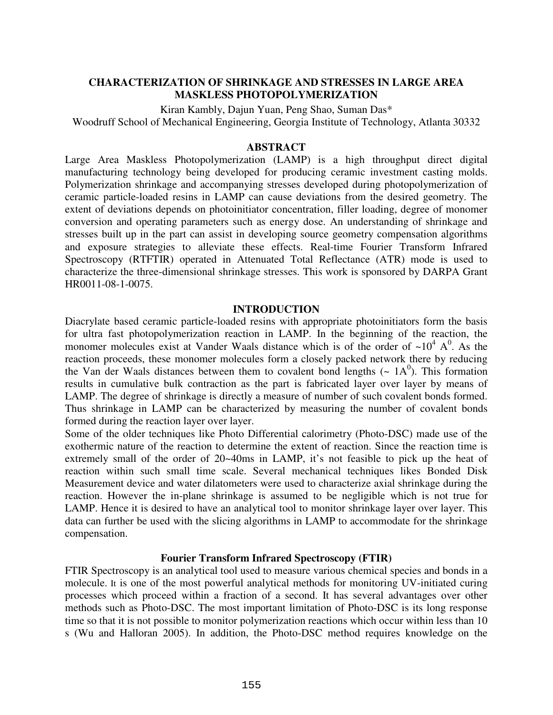# **CHARACTERIZATION OF SHRINKAGE AND STRESSES IN LARGE AREA MASKLESS PHOTOPOLYMERIZATION**

Kiran Kambly, Dajun Yuan, Peng Shao, Suman Das\*

Woodruff School of Mechanical Engineering, Georgia Institute of Technology, Atlanta 30332

#### **ABSTRACT**

Large Area Maskless Photopolymerization (LAMP) is a high throughput direct digital manufacturing technology being developed for producing ceramic investment casting molds. Polymerization shrinkage and accompanying stresses developed during photopolymerization of ceramic particle-loaded resins in LAMP can cause deviations from the desired geometry. The extent of deviations depends on photoinitiator concentration, filler loading, degree of monomer conversion and operating parameters such as energy dose. An understanding of shrinkage and stresses built up in the part can assist in developing source geometry compensation algorithms and exposure strategies to alleviate these effects. Real-time Fourier Transform Infrared Spectroscopy (RTFTIR) operated in Attenuated Total Reflectance (ATR) mode is used to characterize the three-dimensional shrinkage stresses. This work is sponsored by DARPA Grant HR0011-08-1-0075.

### **INTRODUCTION**

Diacrylate based ceramic particle-loaded resins with appropriate photoinitiators form the basis for ultra fast photopolymerization reaction in LAMP. In the beginning of the reaction, the monomer molecules exist at Vander Waals distance which is of the order of  $\sim 10^4$  A<sup>0</sup>. As the reaction proceeds, these monomer molecules form a closely packed network there by reducing the Van der Waals distances between them to covalent bond lengths  $($   $\sim 1A<sup>0</sup>)$ . This formation results in cumulative bulk contraction as the part is fabricated layer over layer by means of LAMP. The degree of shrinkage is directly a measure of number of such covalent bonds formed. Thus shrinkage in LAMP can be characterized by measuring the number of covalent bonds formed during the reaction layer over layer.

Some of the older techniques like Photo Differential calorimetry (Photo-DSC) made use of the exothermic nature of the reaction to determine the extent of reaction. Since the reaction time is extremely small of the order of 20~40ms in LAMP, it's not feasible to pick up the heat of reaction within such small time scale. Several mechanical techniques likes Bonded Disk Measurement device and water dilatometers were used to characterize axial shrinkage during the reaction. However the in-plane shrinkage is assumed to be negligible which is not true for LAMP. Hence it is desired to have an analytical tool to monitor shrinkage layer over layer. This data can further be used with the slicing algorithms in LAMP to accommodate for the shrinkage compensation.

### **Fourier Transform Infrared Spectroscopy (FTIR)**

FTIR Spectroscopy is an analytical tool used to measure various chemical species and bonds in a molecule. It is one of the most powerful analytical methods for monitoring UV-initiated curing processes which proceed within a fraction of a second. It has several advantages over other methods such as Photo-DSC. The most important limitation of Photo-DSC is its long response time so that it is not possible to monitor polymerization reactions which occur within less than 10 s (Wu and Halloran 2005). In addition, the Photo-DSC method requires knowledge on the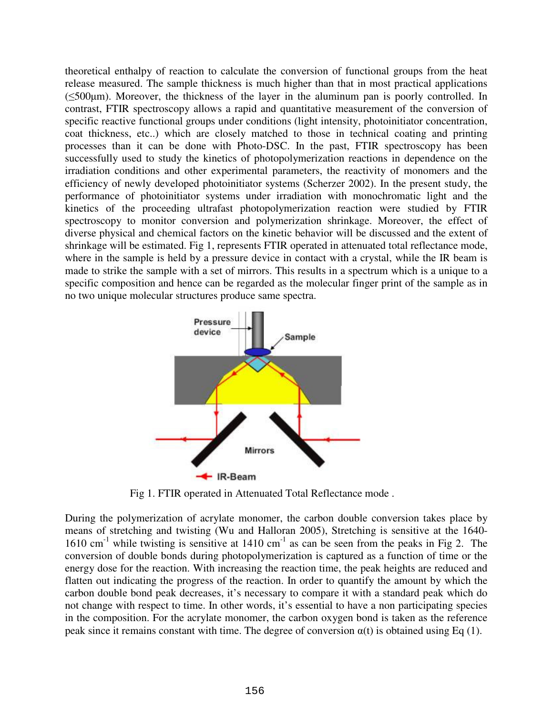theoretical enthalpy of reaction to calculate the conversion of functional groups from the heat release measured. The sample thickness is much higher than that in most practical applications (≤500µm). Moreover, the thickness of the layer in the aluminum pan is poorly controlled. In contrast, FTIR spectroscopy allows a rapid and quantitative measurement of the conversion of specific reactive functional groups under conditions (light intensity, photoinitiator concentration, coat thickness, etc..) which are closely matched to those in technical coating and printing processes than it can be done with Photo-DSC. In the past, FTIR spectroscopy has been successfully used to study the kinetics of photopolymerization reactions in dependence on the irradiation conditions and other experimental parameters, the reactivity of monomers and the efficiency of newly developed photoinitiator systems (Scherzer 2002). In the present study, the performance of photoinitiator systems under irradiation with monochromatic light and the kinetics of the proceeding ultrafast photopolymerization reaction were studied by FTIR spectroscopy to monitor conversion and polymerization shrinkage. Moreover, the effect of diverse physical and chemical factors on the kinetic behavior will be discussed and the extent of shrinkage will be estimated. Fig 1, represents FTIR operated in attenuated total reflectance mode, where in the sample is held by a pressure device in contact with a crystal, while the IR beam is made to strike the sample with a set of mirrors. This results in a spectrum which is a unique to a specific composition and hence can be regarded as the molecular finger print of the sample as in no two unique molecular structures produce same spectra.



Fig 1. FTIR operated in Attenuated Total Reflectance mode .

During the polymerization of acrylate monomer, the carbon double conversion takes place by means of stretching and twisting (Wu and Halloran 2005), Stretching is sensitive at the 1640- 1610 cm<sup>-1</sup> while twisting is sensitive at  $1410 \text{ cm}^{-1}$  as can be seen from the peaks in Fig 2. The conversion of double bonds during photopolymerization is captured as a function of time or the energy dose for the reaction. With increasing the reaction time, the peak heights are reduced and flatten out indicating the progress of the reaction. In order to quantify the amount by which the carbon double bond peak decreases, it's necessary to compare it with a standard peak which do not change with respect to time. In other words, it's essential to have a non participating species in the composition. For the acrylate monomer, the carbon oxygen bond is taken as the reference peak since it remains constant with time. The degree of conversion  $\alpha(t)$  is obtained using Eq (1).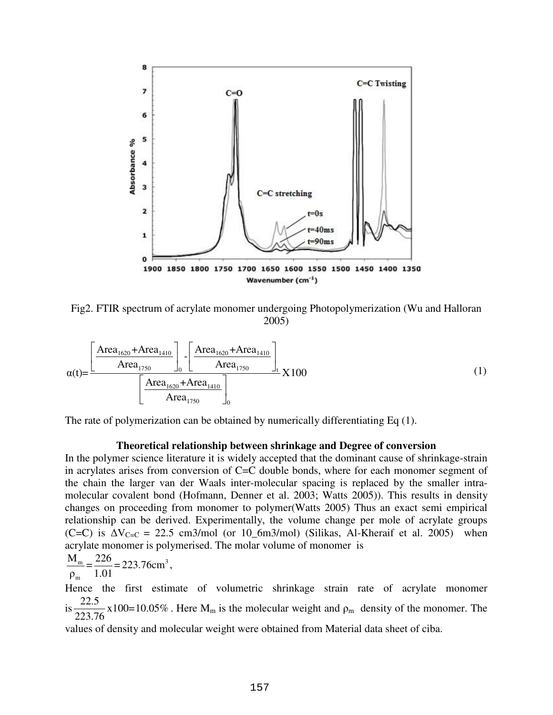

Fig2. FTIR spectrum of acrylate monomer undergoing Photopolymerization (Wu and Halloran 2005)

$$
\alpha(t) = \frac{\left[\frac{\text{Area}_{1620} + \text{Area}_{1410}}{\text{Area}_{1750}}\right]_0 - \left[\frac{\text{Area}_{1620} + \text{Area}_{1410}}{\text{Area}_{1750}}\right]_t}{\left[\frac{\text{Area}_{1620} + \text{Area}_{1410}}{\text{Area}_{1750}}\right]_0} \times 100\tag{1}
$$

The rate of polymerization can be obtained by numerically differentiating Eq (1).

#### **Theoretical relationship between shrinkage and Degree of conversion**

In the polymer science literature it is widely accepted that the dominant cause of shrinkage-strain in acrylates arises from conversion of C=C double bonds, where for each monomer segment of the chain the larger van der Waals inter-molecular spacing is replaced by the smaller intramolecular covalent bond (Hofmann, Denner et al. 2003; Watts 2005)). This results in density changes on proceeding from monomer to polymer(Watts 2005) Thus an exact semi empirical relationship can be derived. Experimentally, the volume change per mole of acrylate groups (C=C) is  $\Delta V_{C=C} = 22.5 \text{ cm}^3/\text{mol}$  (or 10\_6m3/mol) (Silikas, Al-Kheraif et al. 2005) when acrylate monomer is polymerised. The molar volume of monomer is

$$
\frac{M_{\rm m}}{\rho_{\rm m}} = \frac{226}{1.01} = 223.76 \text{cm}^3,
$$

Hence the first estimate of volumetric shrinkage strain rate of acrylate monomer is  $\frac{22.5}{222.5}$  x100=10.05% 223.76 . Here  $M_m$  is the molecular weight and  $\rho_m$  density of the monomer. The

values of density and molecular weight were obtained from Material data sheet of ciba.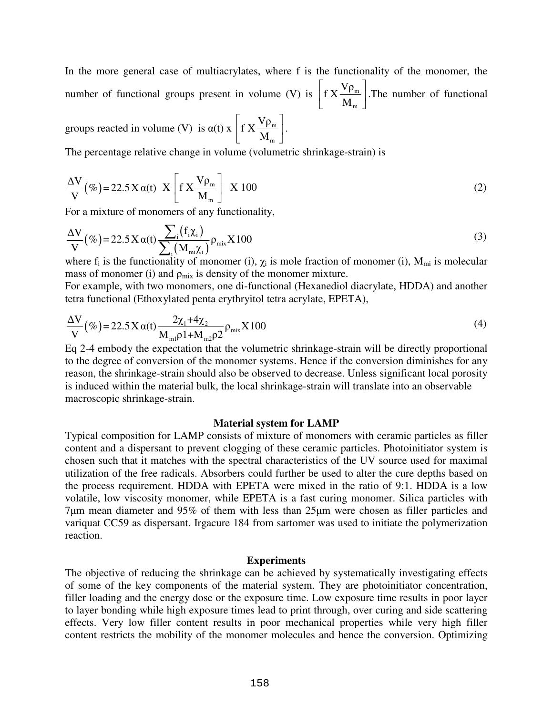In the more general case of multiacrylates, where f is the functionality of the monomer, the number of functional groups present in volume (V) is  $\int f X \frac{f P_m}{f}$ m  $f X \frac{V \rho}{I}$ M  $\lceil v_{\rho} \rceil$  $\left[ \int K \frac{V_{\text{m}}}{M_{\text{m}}} \right]$ . The number of functional

groups reacted in volume (V) is  $\alpha(t) \times$  f  $X \frac{Y P_m}{Y}$ m  $f X \frac{V \rho}{I}$ M  $\lceil v_{\rho} \rceil$  $\left[\int f X \frac{\cdot P_m}{M_m}\right]$ .

The percentage relative change in volume (volumetric shrinkage-strain) is

$$
\frac{\Delta V}{V}(\%) = 22.5 \times \alpha(t) \times \left[ f \times \frac{V \rho_m}{M_m} \right] \times 100
$$
 (2)

For a mixture of monomers of any functionality,

$$
\frac{\Delta V}{V}(\%) = 22.5 X \alpha(t) \frac{\sum_{i} (f_i \chi_i)}{\sum_{i} (M_{mi} \chi_i)} \rho_{mix} X100
$$
\n(3)

where  $f_i$  is the functionality of monomer (i),  $\chi_i$  is mole fraction of monomer (i),  $M_{mi}$  is molecular mass of monomer (i) and  $\rho_{mix}$  is density of the monomer mixture.

For example, with two monomers, one di-functional (Hexanediol diacrylate, HDDA) and another tetra functional (Ethoxylated penta erythryitol tetra acrylate, EPETA),

$$
\frac{\Delta V}{V}(\%) = 22.5 \, X \, \alpha(t) \frac{2\chi_1 + 4\chi_2}{M_{\text{ml}} \rho \, 1 + M_{\text{m2}} \rho \, 2} \rho_{\text{mix}} X \, 100 \tag{4}
$$

Eq 2-4 embody the expectation that the volumetric shrinkage-strain will be directly proportional to the degree of conversion of the monomer systems. Hence if the conversion diminishes for any reason, the shrinkage-strain should also be observed to decrease. Unless significant local porosity is induced within the material bulk, the local shrinkage-strain will translate into an observable macroscopic shrinkage-strain.

#### **Material system for LAMP**

Typical composition for LAMP consists of mixture of monomers with ceramic particles as filler content and a dispersant to prevent clogging of these ceramic particles. Photoinitiator system is chosen such that it matches with the spectral characteristics of the UV source used for maximal utilization of the free radicals. Absorbers could further be used to alter the cure depths based on the process requirement. HDDA with EPETA were mixed in the ratio of 9:1. HDDA is a low volatile, low viscosity monomer, while EPETA is a fast curing monomer. Silica particles with 7µm mean diameter and 95% of them with less than 25µm were chosen as filler particles and variquat CC59 as dispersant. Irgacure 184 from sartomer was used to initiate the polymerization reaction.

#### **Experiments**

The objective of reducing the shrinkage can be achieved by systematically investigating effects of some of the key components of the material system. They are photoinitiator concentration, filler loading and the energy dose or the exposure time. Low exposure time results in poor layer to layer bonding while high exposure times lead to print through, over curing and side scattering effects. Very low filler content results in poor mechanical properties while very high filler content restricts the mobility of the monomer molecules and hence the conversion. Optimizing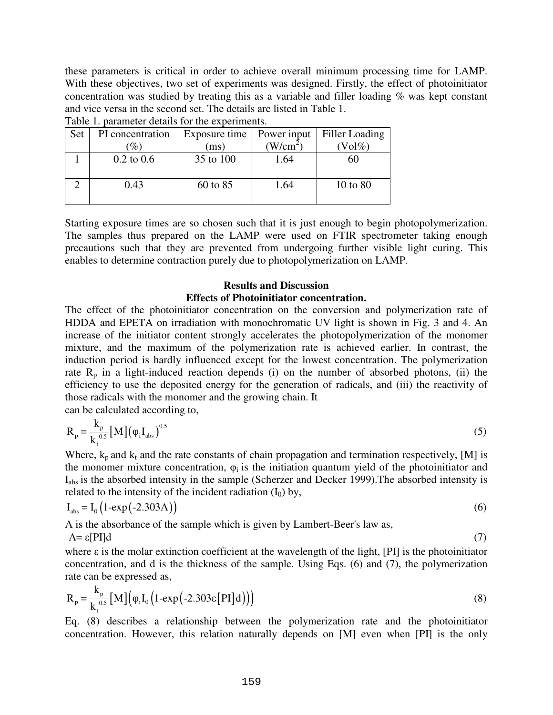these parameters is critical in order to achieve overall minimum processing time for LAMP. With these objectives, two set of experiments was designed. Firstly, the effect of photoinitiator concentration was studied by treating this as a variable and filler loading % was kept constant and vice versa in the second set. The details are listed in Table 1.

|  | Set | PI concentration      | Exposure time | Power input | Filler Loading |
|--|-----|-----------------------|---------------|-------------|----------------|
|  |     | $\mathscr{Y}_o$       | (ms)          | $(W/cm^2)$  | $\text{Vol}\%$ |
|  |     | $0.2 \text{ to } 0.6$ | 35 to 100     | 1.64        | 60             |
|  |     |                       |               |             |                |
|  |     | 0.43                  | 60 to 85      | 1.64        | 10 to 80       |
|  |     |                       |               |             |                |
|  |     |                       |               |             |                |

Table 1. parameter details for the experiments.

Starting exposure times are so chosen such that it is just enough to begin photopolymerization. The samples thus prepared on the LAMP were used on FTIR spectrometer taking enough precautions such that they are prevented from undergoing further visible light curing. This enables to determine contraction purely due to photopolymerization on LAMP.

# **Results and Discussion Effects of Photoinitiator concentration.**

The effect of the photoinitiator concentration on the conversion and polymerization rate of HDDA and EPETA on irradiation with monochromatic UV light is shown in Fig. 3 and 4. An increase of the initiator content strongly accelerates the photopolymerization of the monomer mixture, and the maximum of the polymerization rate is achieved earlier. In contrast, the induction period is hardly influenced except for the lowest concentration. The polymerization rate  $R_p$  in a light-induced reaction depends (i) on the number of absorbed photons, (ii) the efficiency to use the deposited energy for the generation of radicals, and (iii) the reactivity of those radicals with the monomer and the growing chain. It

can be calculated according to,

$$
R_{p} = \frac{k_{p}}{k_{t}^{0.5}} [M] (\varphi_{i} I_{abs})^{0.5}
$$
 (5)

Where,  $k_p$  and  $k_t$  and the rate constants of chain propagation and termination respectively, [M] is the monomer mixture concentration,  $\varphi_i$  is the initiation quantum yield of the photoinitiator and Iabs is the absorbed intensity in the sample (Scherzer and Decker 1999).The absorbed intensity is related to the intensity of the incident radiation  $(I_0)$  by,

$$
I_{\text{abs}} = I_0 \left( 1 - \exp\left( -2.303 \text{A} \right) \right) \tag{6}
$$

A is the absorbance of the sample which is given by Lambert-Beer's law as,

$$
A = \varepsilon[PI]d
$$
 (7)

where  $\varepsilon$  is the molar extinction coefficient at the wavelength of the light, [PI] is the photoinitiator concentration, and d is the thickness of the sample. Using Eqs. (6) and (7), the polymerization rate can be expressed as,

$$
R_p = \frac{k_p}{k_t^{0.5}} [M] \Big( \varphi_i I_0 \Big( 1 - \exp \Big( -2.303 \epsilon [PI] d \Big) \Big) \Big)
$$
 (8)

Eq. (8) describes a relationship between the polymerization rate and the photoinitiator concentration. However, this relation naturally depends on [M] even when [PI] is the only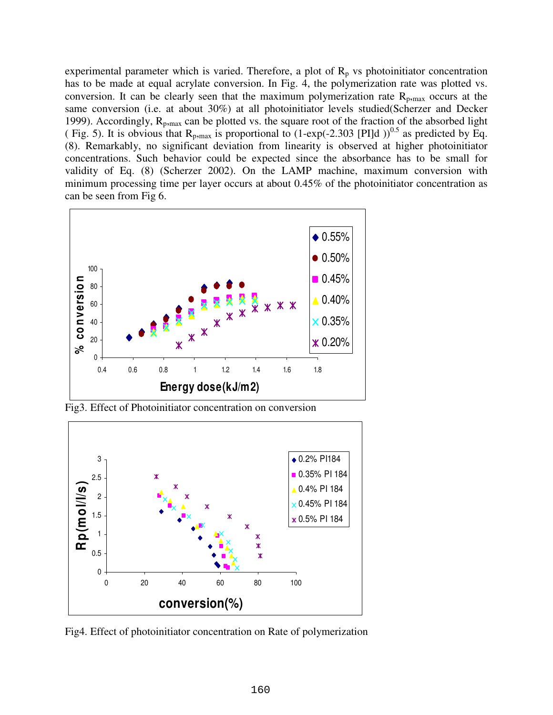experimental parameter which is varied. Therefore, a plot of  $R_p$  vs photoinitiator concentration has to be made at equal acrylate conversion. In Fig. 4, the polymerization rate was plotted vs. conversion. It can be clearly seen that the maximum polymerization rate  $R_{p, max}$  occurs at the same conversion (i.e. at about 30%) at all photoinitiator levels studied(Scherzer and Decker 1999). Accordingly,  $R_{p, max}$  can be plotted vs. the square root of the fraction of the absorbed light ( Fig. 5). It is obvious that  $R_{p, max}$  is proportional to (1-exp(-2.303 [PI]d ))<sup>0.5</sup> as predicted by Eq. (8). Remarkably, no significant deviation from linearity is observed at higher photoinitiator concentrations. Such behavior could be expected since the absorbance has to be small for validity of Eq. (8) (Scherzer 2002). On the LAMP machine, maximum conversion with minimum processing time per layer occurs at about 0.45% of the photoinitiator concentration as can be seen from Fig 6.



Fig3. Effect of Photoinitiator concentration on conversion



Fig4. Effect of photoinitiator concentration on Rate of polymerization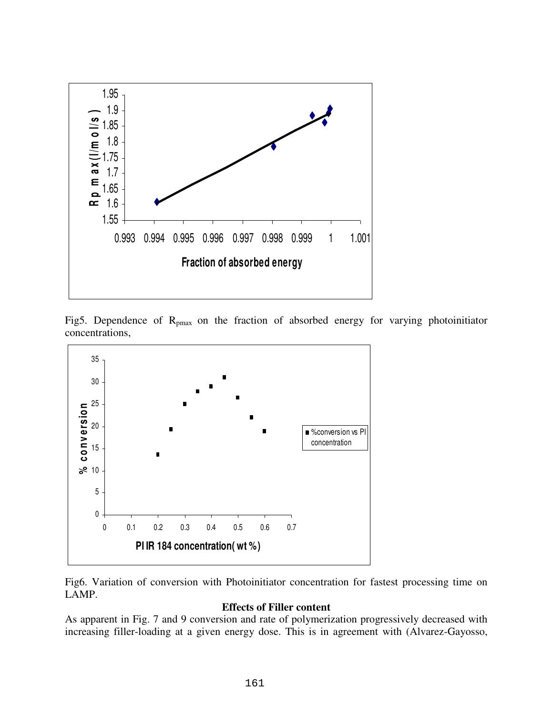

Fig5. Dependence of  $R_{pmax}$  on the fraction of absorbed energy for varying photoinitiator concentrations,



Fig6. Variation of conversion with Photoinitiator concentration for fastest processing time on LAMP.

# **Effects of Filler content**

As apparent in Fig. 7 and 9 conversion and rate of polymerization progressively decreased with increasing filler-loading at a given energy dose. This is in agreement with (Alvarez-Gayosso,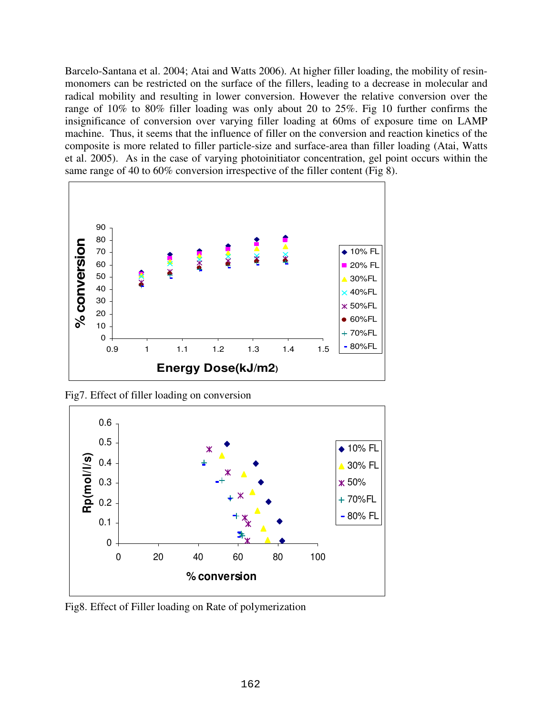Barcelo-Santana et al. 2004; Atai and Watts 2006). At higher filler loading, the mobility of resinmonomers can be restricted on the surface of the fillers, leading to a decrease in molecular and radical mobility and resulting in lower conversion. However the relative conversion over the range of 10% to 80% filler loading was only about 20 to 25%. Fig 10 further confirms the insignificance of conversion over varying filler loading at 60ms of exposure time on LAMP machine. Thus, it seems that the influence of filler on the conversion and reaction kinetics of the composite is more related to filler particle-size and surface-area than filler loading (Atai, Watts et al. 2005). As in the case of varying photoinitiator concentration, gel point occurs within the same range of 40 to 60% conversion irrespective of the filler content (Fig 8).



Fig7. Effect of filler loading on conversion



Fig8. Effect of Filler loading on Rate of polymerization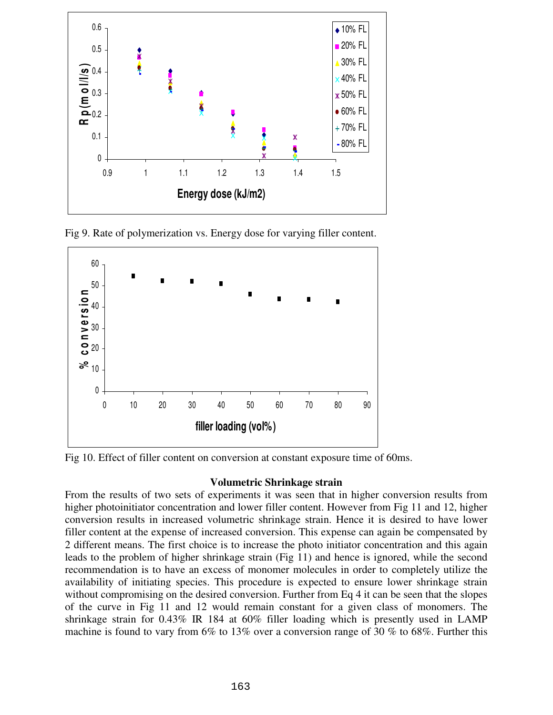

Fig 9. Rate of polymerization vs. Energy dose for varying filler content.



Fig 10. Effect of filler content on conversion at constant exposure time of 60ms.

# **Volumetric Shrinkage strain**

From the results of two sets of experiments it was seen that in higher conversion results from higher photoinitiator concentration and lower filler content. However from Fig 11 and 12, higher conversion results in increased volumetric shrinkage strain. Hence it is desired to have lower filler content at the expense of increased conversion. This expense can again be compensated by 2 different means. The first choice is to increase the photo initiator concentration and this again leads to the problem of higher shrinkage strain (Fig 11) and hence is ignored, while the second recommendation is to have an excess of monomer molecules in order to completely utilize the availability of initiating species. This procedure is expected to ensure lower shrinkage strain without compromising on the desired conversion. Further from Eq 4 it can be seen that the slopes of the curve in Fig 11 and 12 would remain constant for a given class of monomers. The shrinkage strain for 0.43% IR 184 at 60% filler loading which is presently used in LAMP machine is found to vary from 6% to 13% over a conversion range of 30 % to 68%. Further this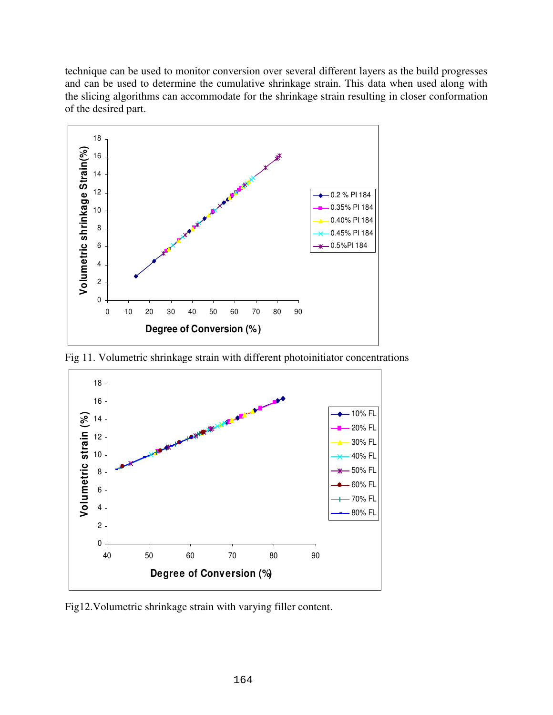technique can be used to monitor conversion over several different layers as the build progresses and can be used to determine the cumulative shrinkage strain. This data when used along with the slicing algorithms can accommodate for the shrinkage strain resulting in closer conformation of the desired part.



Fig 11. Volumetric shrinkage strain with different photoinitiator concentrations



Fig12.Volumetric shrinkage strain with varying filler content.